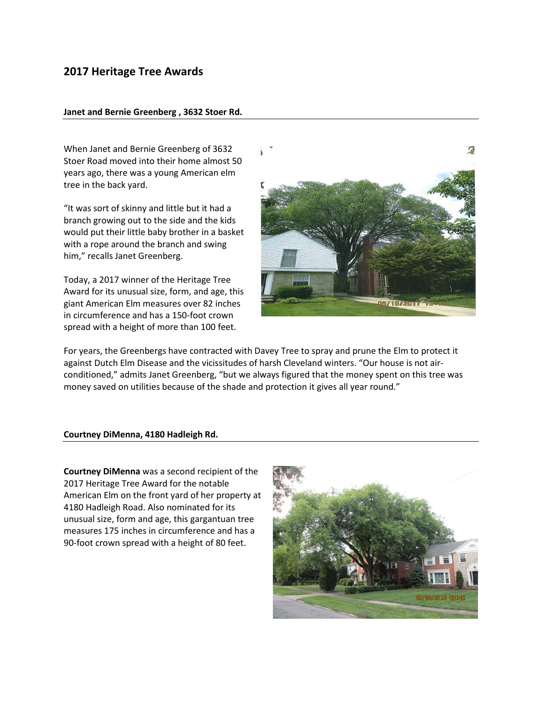## **2017 Heritage Tree Awards**

## **Janet and Bernie Greenberg , 3632 Stoer Rd.**

When Janet and Bernie Greenberg of 3632 Stoer Road moved into their home almost 50 years ago, there was a young American elm tree in the back yard.

"It was sort of skinny and little but it had a branch growing out to the side and the kids would put their little baby brother in a basket with a rope around the branch and swing him," recalls Janet Greenberg.

Today, a 2017 winner of the Heritage Tree Award for its unusual size, form, and age, this giant American Elm measures over 82 inches in circumference and has a 150-foot crown spread with a height of more than 100 feet.



For years, the Greenbergs have contracted with Davey Tree to spray and prune the Elm to protect it against Dutch Elm Disease and the vicissitudes of harsh Cleveland winters. "Our house is not airconditioned," admits Janet Greenberg, "but we always figured that the money spent on this tree was money saved on utilities because of the shade and protection it gives all year round."

## **Courtney DiMenna, 4180 Hadleigh Rd.**

**Courtney DiMenna** was a second recipient of the 2017 Heritage Tree Award for the notable American Elm on the front yard of her property at 4180 Hadleigh Road. Also nominated for its unusual size, form and age, this gargantuan tree measures 175 inches in circumference and has a 90-foot crown spread with a height of 80 feet.